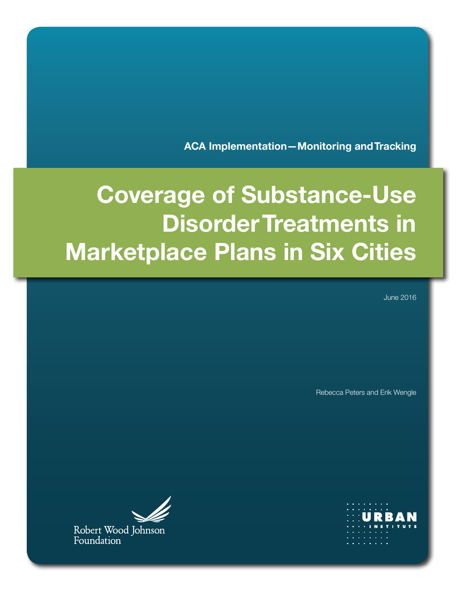**ACA Implementation—Monitoring and Tracking**

# **Coverage of Substance-Use Disorder Treatments in Marketplace Plans in Six Cities**

June 2016

Rebecca Peters and Erik Wengle

**URBA** 



Robert Wood Johnson<br>Foundation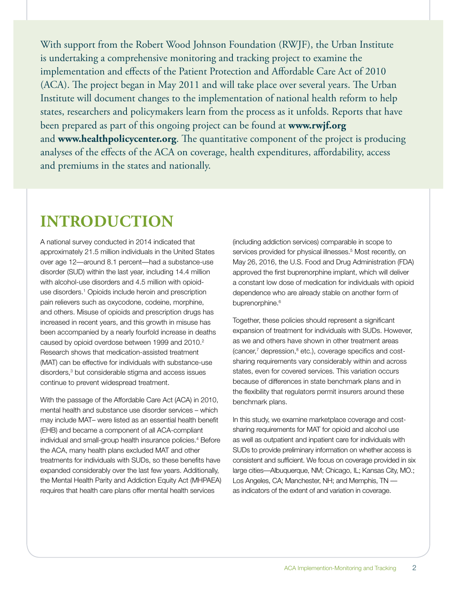With support from the Robert Wood Johnson Foundation (RWJF), the Urban Institute is undertaking a comprehensive monitoring and tracking project to examine the implementation and effects of the Patient Protection and Affordable Care Act of 2010 (ACA). The project began in May 2011 and will take place over several years. The Urban Institute will document changes to the implementation of national health reform to help states, researchers and policymakers learn from the process as it unfolds. Reports that have been prepared as part of this ongoing project can be found at **[www.rwjf.org](http://www.rwjf.org)** and **[www.healthpolicycenter.org](http://www.healthpolicycenter.org)**. The quantitative component of the project is producing analyses of the effects of the ACA on coverage, health expenditures, affordability, access and premiums in the states and nationally.

# **INTRODUCTION**

A national survey conducted in 2014 indicated that approximately 21.5 million individuals in the United States over age 12—around 8.1 percent—had a substance-use disorder (SUD) within the last year, including 14.4 million with alcohol-use disorders and 4.5 million with opioiduse disorders.<sup>1</sup> Opioids include heroin and prescription pain relievers such as oxycodone, codeine, morphine, and others. Misuse of opioids and prescription drugs has increased in recent years, and this growth in misuse has been accompanied by a nearly fourfold increase in deaths caused by opioid overdose between 1999 and 2010.<sup>2</sup> Research shows that medication-assisted treatment (MAT) can be effective for individuals with substance-use disorders,3 but considerable stigma and access issues continue to prevent widespread treatment.

With the passage of the Affordable Care Act (ACA) in 2010, mental health and substance use disorder services – which may include MAT– were listed as an essential health benefit (EHB) and became a component of all ACA-compliant individual and small-group health insurance policies.4 Before the ACA, many health plans excluded MAT and other treatments for individuals with SUDs, so these benefits have expanded considerably over the last few years. Additionally, the Mental Health Parity and Addiction Equity Act (MHPAEA) requires that health care plans offer mental health services

(including addiction services) comparable in scope to services provided for physical illnesses.<sup>5</sup> Most recently, on May 26, 2016, the U.S. Food and Drug Administration (FDA) approved the first buprenorphine implant, which will deliver a constant low dose of medication for individuals with opioid dependence who are already stable on another form of buprenorphine.<sup>6</sup>

Together, these policies should represent a significant expansion of treatment for individuals with SUDs. However, as we and others have shown in other treatment areas (cancer,<sup>7</sup> depression,<sup>8</sup> etc.), coverage specifics and costsharing requirements vary considerably within and across states, even for covered services. This variation occurs because of differences in state benchmark plans and in the flexibility that regulators permit insurers around these benchmark plans.

In this study, we examine marketplace coverage and costsharing requirements for MAT for opioid and alcohol use as well as outpatient and inpatient care for individuals with SUDs to provide preliminary information on whether access is consistent and sufficient. We focus on coverage provided in six large cities—Albuquerque, NM; Chicago, IL; Kansas City, MO.; Los Angeles, CA; Manchester, NH; and Memphis, TN as indicators of the extent of and variation in coverage.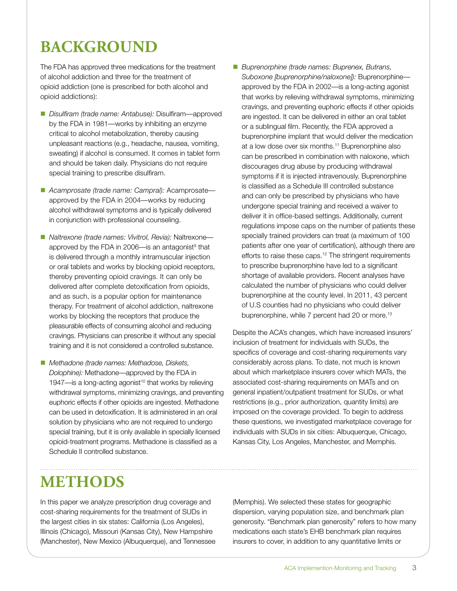# **BACKGROUND**

The FDA has approved three medications for the treatment of alcohol addiction and three for the treatment of opioid addiction (one is prescribed for both alcohol and opioid addictions):

- *Disulfiram (trade name: Antabuse):* Disulfiram—approved by the FDA in 1981—works by inhibiting an enzyme critical to alcohol metabolization, thereby causing unpleasant reactions (e.g., headache, nausea, vomiting, sweating) if alcohol is consumed. It comes in tablet form and should be taken daily. Physicians do not require special training to prescribe disulfiram.
- Acamprosate (trade name: Campral): Acamprosate approved by the FDA in 2004—works by reducing alcohol withdrawal symptoms and is typically delivered in conjunction with professional counseling.
- *Naltrexone (trade names: Vivitrol, Revia):* Naltrexone approved by the FDA in 2006—is an antagonist $9$  that is delivered through a monthly intramuscular injection or oral tablets and works by blocking opioid receptors, thereby preventing opioid cravings. It can only be delivered after complete detoxification from opioids, and as such, is a popular option for maintenance therapy. For treatment of alcohol addiction, naltrexone works by blocking the receptors that produce the pleasurable effects of consuming alcohol and reducing cravings. Physicians can prescribe it without any special training and it is not considered a controlled substance.
- *Methadone (trade names: Methadose, Diskets, Dolophine):* Methadone—approved by the FDA in 1947—is a long-acting agonist<sup>10</sup> that works by relieving withdrawal symptoms, minimizing cravings, and preventing euphoric effects if other opioids are ingested. Methadone can be used in detoxification. It is administered in an oral solution by physicians who are not required to undergo special training, but it is only available in specially licensed opioid-treatment programs. Methadone is classified as a Schedule II controlled substance.
- *Buprenorphine (trade names: Buprenex, Butrans, Suboxone [buprenorphine/naloxone]):* Buprenorphine approved by the FDA in 2002—is a long-acting agonist that works by relieving withdrawal symptoms, minimizing cravings, and preventing euphoric effects if other opioids are ingested. It can be delivered in either an oral tablet or a sublingual film. Recently, the FDA approved a buprenorphine implant that would deliver the medication at a low dose over six months.11 Buprenorphine also can be prescribed in combination with naloxone, which discourages drug abuse by producing withdrawal symptoms if it is injected intravenously. Buprenorphine is classified as a Schedule III controlled substance and can only be prescribed by physicians who have undergone special training and received a waiver to deliver it in office-based settings. Additionally, current regulations impose caps on the number of patients these specially trained providers can treat (a maximum of 100 patients after one year of certification), although there are efforts to raise these caps.<sup>12</sup> The stringent requirements to prescribe buprenorphine have led to a significant shortage of available providers. Recent analyses have calculated the number of physicians who could deliver buprenorphine at the county level. In 2011, 43 percent of U.S counties had no physicians who could deliver buprenorphine, while 7 percent had 20 or more.<sup>13</sup>

Despite the ACA's changes, which have increased insurers' inclusion of treatment for individuals with SUDs, the specifics of coverage and cost-sharing requirements vary considerably across plans. To date, not much is known about which marketplace insurers cover which MATs, the associated cost-sharing requirements on MATs and on general inpatient/outpatient treatment for SUDs, or what restrictions (e.g., prior authorization, quantity limits) are imposed on the coverage provided. To begin to address these questions, we investigated marketplace coverage for individuals with SUDs in six cities: Albuquerque, Chicago, Kansas City, Los Angeles, Manchester, and Memphis.

### **METHODS**

In this paper we analyze prescription drug coverage and cost-sharing requirements for the treatment of SUDs in the largest cities in six states: California (Los Angeles), Illinois (Chicago), Missouri (Kansas City), New Hampshire (Manchester), New Mexico (Albuquerque), and Tennessee

(Memphis). We selected these states for geographic dispersion, varying population size, and benchmark plan generosity. "Benchmark plan generosity" refers to how many medications each state's EHB benchmark plan requires insurers to cover, in addition to any quantitative limits or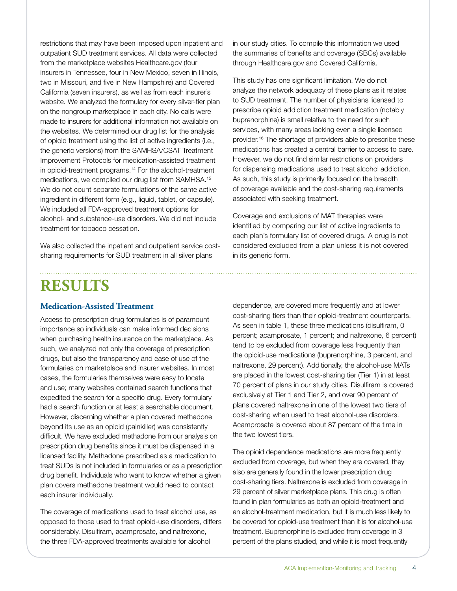restrictions that may have been imposed upon inpatient and outpatient SUD treatment services. All data were collected from the marketplace websites Healthcare.gov (four insurers in Tennessee, four in New Mexico, seven in Illinois, two in Missouri, and five in New Hampshire) and Covered California (seven insurers), as well as from each insurer's website. We analyzed the formulary for every silver-tier plan on the nongroup marketplace in each city. No calls were made to insurers for additional information not available on the websites. We determined our drug list for the analysis of opioid treatment using the list of active ingredients (i.e., the generic versions) from the SAMHSA/CSAT Treatment Improvement Protocols for medication-assisted treatment in opioid-treatment programs.14 For the alcohol-treatment medications, we compiled our drug list from SAMHSA.15 We do not count separate formulations of the same active ingredient in different form (e.g., liquid, tablet, or capsule). We included all FDA-approved treatment options for alcohol- and substance-use disorders. We did not include treatment for tobacco cessation.

We also collected the inpatient and outpatient service costsharing requirements for SUD treatment in all silver plans

in our study cities. To compile this information we used the summaries of benefits and coverage (SBCs) available through Healthcare.gov and Covered California.

This study has one significant limitation. We do not analyze the network adequacy of these plans as it relates to SUD treatment. The number of physicians licensed to prescribe opioid addiction treatment medication (notably buprenorphine) is small relative to the need for such services, with many areas lacking even a single licensed provider.16 The shortage of providers able to prescribe these medications has created a central barrier to access to care. However, we do not find similar restrictions on providers for dispensing medications used to treat alcohol addiction. As such, this study is primarily focused on the breadth of coverage available and the cost-sharing requirements associated with seeking treatment.

Coverage and exclusions of MAT therapies were identified by comparing our list of active ingredients to each plan's formulary list of covered drugs. A drug is not considered excluded from a plan unless it is not covered in its generic form.

### **RESULTS**

#### **Medication-Assisted Treatment**

Access to prescription drug formularies is of paramount importance so individuals can make informed decisions when purchasing health insurance on the marketplace. As such, we analyzed not only the coverage of prescription drugs, but also the transparency and ease of use of the formularies on marketplace and insurer websites. In most cases, the formularies themselves were easy to locate and use; many websites contained search functions that expedited the search for a specific drug. Every formulary had a search function or at least a searchable document. However, discerning whether a plan covered methadone beyond its use as an opioid (painkiller) was consistently difficult. We have excluded methadone from our analysis on prescription drug benefits since it must be dispensed in a licensed facility. Methadone prescribed as a medication to treat SUDs is not included in formularies or as a prescription drug benefit. Individuals who want to know whether a given plan covers methadone treatment would need to contact each insurer individually.

The coverage of medications used to treat alcohol use, as opposed to those used to treat opioid-use disorders, differs considerably. Disulfiram, acamprosate, and naltrexone, the three FDA-approved treatments available for alcohol

dependence, are covered more frequently and at lower cost-sharing tiers than their opioid-treatment counterparts. As seen in table 1, these three medications (disulfiram, 0 percent; acamprosate, 1 percent; and naltrexone, 6 percent) tend to be excluded from coverage less frequently than the opioid-use medications (buprenorphine, 3 percent, and naltrexone, 29 percent). Additionally, the alcohol-use MATs are placed in the lowest cost-sharing tier (Tier 1) in at least 70 percent of plans in our study cities. Disulfiram is covered exclusively at Tier 1 and Tier 2, and over 90 percent of plans covered naltrexone in one of the lowest two tiers of cost-sharing when used to treat alcohol-use disorders. Acamprosate is covered about 87 percent of the time in the two lowest tiers.

The opioid dependence medications are more frequently excluded from coverage, but when they are covered, they also are generally found in the lower prescription drug cost-sharing tiers. Naltrexone is excluded from coverage in 29 percent of silver marketplace plans. This drug is often found in plan formularies as both an opioid-treatment and an alcohol-treatment medication, but it is much less likely to be covered for opioid-use treatment than it is for alcohol-use treatment. Buprenorphine is excluded from coverage in 3 percent of the plans studied, and while it is most frequently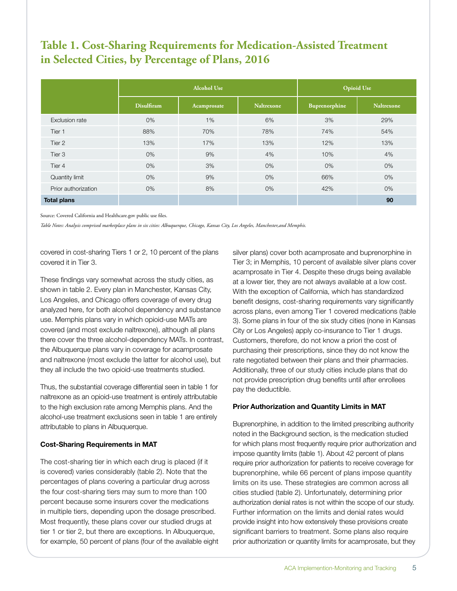### **Table 1. Cost-Sharing Requirements for Medication-Assisted Treatment in Selected Cities, by Percentage of Plans, 2016**

|                     |                   | <b>Alcohol Use</b> | <b>Opioid Use</b> |               |                   |
|---------------------|-------------------|--------------------|-------------------|---------------|-------------------|
|                     | <b>Disulfiram</b> | Acamprosate        | <b>Naltrexone</b> | Buprenorphine | <b>Naltrexone</b> |
| Exclusion rate      | $0\%$             | 1%                 | 6%                | 3%            | 29%               |
| Tier 1              | 88%               | 70%                | 78%               | 74%           | 54%               |
| Tier 2              | 13%               | 17%                | 13%               | 12%           | 13%               |
| Tier 3              | $0\%$             | 9%                 | 4%                | 10%           | 4%                |
| Tier 4              | $0\%$             | 3%                 | 0%                | $0\%$         | 0%                |
| Quantity limit      | $0\%$             | 9%                 | 0%                | 66%           | 0%                |
| Prior authorization | 0%                | 8%                 | $0\%$             | 42%           | 0%                |
| <b>Total plans</b>  |                   |                    |                   |               | 90                |

Source: Covered California and Healthcare.gov public use files.

*Table Notes: Analysis comprised marketplace plans in six cities: Albuquerque, Chicago, Kansas City, Los Angeles, Manchester,and Memphis.*

covered in cost-sharing Tiers 1 or 2, 10 percent of the plans covered it in Tier 3.

These findings vary somewhat across the study cities, as shown in table 2. Every plan in Manchester, Kansas City, Los Angeles, and Chicago offers coverage of every drug analyzed here, for both alcohol dependency and substance use. Memphis plans vary in which opioid-use MATs are covered (and most exclude naltrexone), although all plans there cover the three alcohol-dependency MATs. In contrast, the Albuquerque plans vary in coverage for acamprosate and naltrexone (most exclude the latter for alcohol use), but they all include the two opioid-use treatments studied.

Thus, the substantial coverage differential seen in table 1 for naltrexone as an opioid-use treatment is entirely attributable to the high exclusion rate among Memphis plans. And the alcohol-use treatment exclusions seen in table 1 are entirely attributable to plans in Albuquerque.

#### **Cost-Sharing Requirements in MAT**

The cost-sharing tier in which each drug is placed (if it is covered) varies considerably (table 2). Note that the percentages of plans covering a particular drug across the four cost-sharing tiers may sum to more than 100 percent because some insurers cover the medications in multiple tiers, depending upon the dosage prescribed. Most frequently, these plans cover our studied drugs at tier 1 or tier 2, but there are exceptions. In Albuquerque, for example, 50 percent of plans (four of the available eight

silver plans) cover both acamprosate and buprenorphine in Tier 3; in Memphis, 10 percent of available silver plans cover acamprosate in Tier 4. Despite these drugs being available at a lower tier, they are not always available at a low cost. With the exception of California, which has standardized benefit designs, cost-sharing requirements vary significantly across plans, even among Tier 1 covered medications (table 3). Some plans in four of the six study cities (none in Kansas City or Los Angeles) apply co-insurance to Tier 1 drugs. Customers, therefore, do not know a priori the cost of purchasing their prescriptions, since they do not know the rate negotiated between their plans and their pharmacies. Additionally, three of our study cities include plans that do not provide prescription drug benefits until after enrollees pay the deductible.

#### **Prior Authorization and Quantity Limits in MAT**

Buprenorphine, in addition to the limited prescribing authority noted in the Background section, is the medication studied for which plans most frequently require prior authorization and impose quantity limits (table 1). About 42 percent of plans require prior authorization for patients to receive coverage for buprenorphine, while 66 percent of plans impose quantity limits on its use. These strategies are common across all cities studied (table 2). Unfortunately, determining prior authorization denial rates is not within the scope of our study. Further information on the limits and denial rates would provide insight into how extensively these provisions create significant barriers to treatment. Some plans also require prior authorization or quantity limits for acamprosate, but they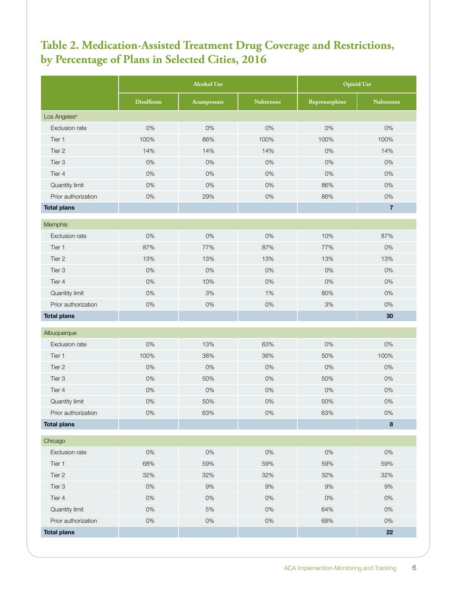### **Table 2. Medication-Assisted Treatment Drug Coverage and Restrictions, by Percentage of Plans in Selected Cities, 2016**

|                          | <b>Alcohol Use</b> |             |                   | <b>Opioid Use</b> |                   |  |  |
|--------------------------|--------------------|-------------|-------------------|-------------------|-------------------|--|--|
|                          | <b>Disulfiram</b>  | Acamprosate | <b>Naltrexone</b> | Buprenorphine     | <b>Naltrexone</b> |  |  |
| Los Angeles <sup>a</sup> |                    |             |                   |                   |                   |  |  |
| Exclusion rate           | 0%                 | 0%          | 0%                | 0%                | 0%                |  |  |
| Tier 1                   | 100%               | 86%         | 100%              | 100%              | 100%              |  |  |
| Tier 2                   | 14%                | 14%         | 14%               | 0%                | 14%               |  |  |
| Tier 3                   | 0%                 | 0%          | 0%                | 0%                | 0%                |  |  |
| Tier 4                   | 0%                 | 0%          | 0%                | 0%                | 0%                |  |  |
| Quantity limit           | 0%                 | 0%          | $0\%$             | 86%               | 0%                |  |  |
| Prior authorization      | 0%                 | 29%         | 0%                | 86%               | $0\%$             |  |  |
| <b>Total plans</b>       |                    |             |                   |                   | $\overline{7}$    |  |  |
| Memphis                  |                    |             |                   |                   |                   |  |  |
| Exclusion rate           | 0%                 | 0%          | 0%                | 10%               | 87%               |  |  |
| Tier 1                   | 87%                | 77%         | 87%               | 77%               | 0%                |  |  |
| Tier 2                   | 13%                | 13%         | 13%               | 13%               | 13%               |  |  |
| Tier 3                   | 0%                 | 0%          | 0%                | 0%                | 0%                |  |  |
| Tier 4                   | 0%                 | 10%         | 0%                | 0%                | 0%                |  |  |
| Quantity limit           | 0%                 | 3%          | 1%                | 80%               | 0%                |  |  |
| Prior authorization      | 0%                 | 0%          | 0%                | 3%                | 0%                |  |  |
| <b>Total plans</b>       |                    |             |                   |                   | 30                |  |  |
| Albuquerque              |                    |             |                   |                   |                   |  |  |
| Exclusion rate           | 0%                 | 13%         | 63%               | 0%                | 0%                |  |  |
| Tier 1                   | 100%               | 38%         | 38%               | 50%               | 100%              |  |  |
| Tier 2                   | 0%                 | 0%          | 0%                | 0%                | 0%                |  |  |
| Tier 3                   | 0%                 | 50%         | 0%                | 50%               | 0%                |  |  |
| Tier 4                   | 0%                 | $0\%$       | 0%                | 0%                | 0%                |  |  |
| Quantity limit           | 0%                 | 50%         | 0%                | 50%               | 0%                |  |  |
| Prior authorization      | $0\%$              | 63%         | $0\%$             | 63%               | $0\%$             |  |  |
| <b>Total plans</b>       |                    |             |                   |                   | $\bf8$            |  |  |
| Chicago                  |                    |             |                   |                   |                   |  |  |
| Exclusion rate           | 0%                 | $0\%$       | $0\%$             | $0\%$             | $0\%$             |  |  |
| Tier 1                   | 68%                | 59%         | 59%               | 59%               | 59%               |  |  |
| Tier 2                   | 32%                | 32%         | 32%               | 32%               | 32%               |  |  |
| Tier 3                   | 0%                 | 9%          | 9%                | 9%                | $9\%$             |  |  |
| Tier 4                   | 0%                 | $0\%$       | $0\%$             | 0%                | $0\%$             |  |  |
| Quantity limit           | $0\%$              | $5\%$       | $0\%$             | 64%               | 0%                |  |  |
| Prior authorization      | $0\%$              | $0\%$       | $0\%$             | 68%               | $0\%$             |  |  |
| <b>Total plans</b>       |                    |             |                   |                   | 22                |  |  |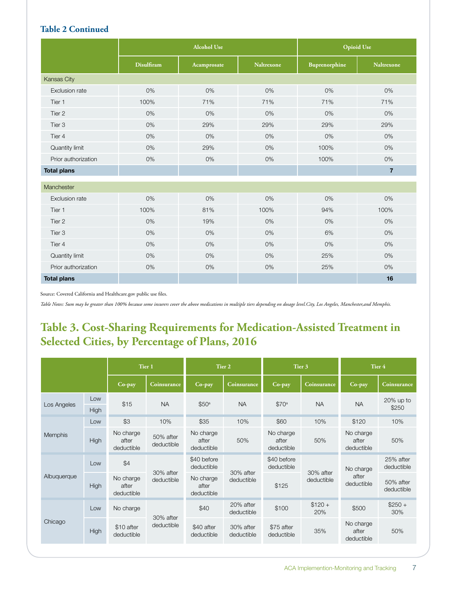#### **Table 2 Continued**

|                     |                   | <b>Alcohol Use</b> |                   | <b>Opioid Use</b> |                   |  |
|---------------------|-------------------|--------------------|-------------------|-------------------|-------------------|--|
|                     | <b>Disulfiram</b> | Acamprosate        | <b>Naltrexone</b> | Buprenorphine     | <b>Naltrexone</b> |  |
| Kansas City         |                   |                    |                   |                   |                   |  |
| Exclusion rate      | 0%                | 0%                 | 0%                | 0%                | 0%                |  |
| Tier 1              | 100%              | 71%                | 71%               | 71%               | 71%               |  |
| Tier 2              | 0%                | 0%                 | 0%                | 0%                | 0%                |  |
| Tier 3              | 0%                | 29%                | 29%               | 29%               | 29%               |  |
| Tier 4              | 0%                | 0%                 | 0%                | 0%                | 0%                |  |
| Quantity limit      | 0%                | 29%                | 0%                | 100%              | 0%                |  |
| Prior authorization | 0%                | 0%                 | 0%                | 100%              | 0%                |  |
| <b>Total plans</b>  |                   |                    |                   |                   | $\overline{7}$    |  |
| Manchester          |                   |                    |                   |                   |                   |  |
| Exclusion rate      | 0%                | 0%                 | 0%                | $0\%$             | 0%                |  |
| Tier 1              | 100%              | 81%                | 100%              | 94%               | 100%              |  |
| Tier 2              | 0%                | 19%                | 0%                | 0%                | 0%                |  |
| Tier <sub>3</sub>   | 0%                | 0%                 | 0%                | 6%                | 0%                |  |
| Tier 4              | 0%                | 0%                 | 0%                | 0%                | 0%                |  |
| Quantity limit      | 0%                | 0%                 | 0%                | 25%               | $0\%$             |  |
| Prior authorization | 0%                | 0%                 | 0%                | 25%               | $0\%$             |  |
| <b>Total plans</b>  |                   |                    |                   |                   | 16                |  |

Source: Covered California and Healthcare.gov public use files.

*Table Notes: Sum may be greater than 100% because some insurers cover the above medications in multiple tiers depending on dosage level.City, Los Angeles, Manchester,and Memphis.*

### **Table 3. Cost-Sharing Requirements for Medication-Assisted Treatment in Selected Cities, by Percentage of Plans, 2016**

|                    |             |                                  | Tier 1                  | Tier 2                           |                         | Tier 3                           |                         | Tier 4                           |                         |
|--------------------|-------------|----------------------------------|-------------------------|----------------------------------|-------------------------|----------------------------------|-------------------------|----------------------------------|-------------------------|
|                    |             | Co-pay                           | Coinsurance             | Co-pay                           | Coinsurance             | Co-pay                           | Coinsurance             | Co-pay                           | Coinsurance             |
| Low<br>Los Angeles |             | \$15                             | <b>NA</b>               | \$50 <sup>a</sup>                | <b>NA</b>               | \$70 <sup>a</sup>                | <b>NA</b>               | <b>NA</b>                        | $20\%$ up to<br>\$250   |
|                    | High<br>Low | \$3                              | 10%                     | \$35                             | 10%                     | \$60                             | 10%                     | \$120                            | 10%                     |
|                    |             |                                  |                         |                                  |                         |                                  |                         |                                  |                         |
| <b>Memphis</b>     | High        | No charge<br>after<br>deductible | 50% after<br>deductible | No charge<br>after<br>deductible | 50%                     | No charge<br>after<br>deductible | 50%                     | No charge<br>after<br>deductible | 50%                     |
| Albuquerque        | Low         | \$4                              | 30% after<br>deductible | \$40 before<br>deductible        | 30% after<br>deductible | \$40 before<br>deductible        | 30% after<br>deductible | No charge<br>after<br>deductible | 25% after<br>deductible |
|                    | High        | No charge<br>after<br>deductible |                         | No charge<br>after<br>deductible |                         | \$125                            |                         |                                  | 50% after<br>deductible |
| Chicago            | Low         | No charge                        | 30% after               | \$40                             | 20% after<br>deductible | \$100                            | $$120 +$<br>20%         | \$500                            | $$250 +$<br>30%         |
|                    | High        | \$10 after<br>deductible         | deductible              | \$40 after<br>deductible         | 30% after<br>deductible | \$75 after<br>deductible         | 35%                     | No charge<br>after<br>deductible | 50%                     |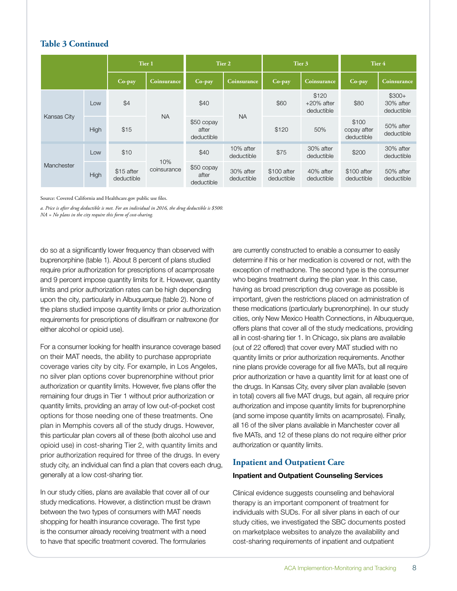#### **Table 3 Continued**

|                    |      |                          | Tier 1             |                                   | Tier 2                  |                           | Tier 3                               |                                    | Tier 4                             |  |
|--------------------|------|--------------------------|--------------------|-----------------------------------|-------------------------|---------------------------|--------------------------------------|------------------------------------|------------------------------------|--|
|                    |      | Co-pay                   | <b>Coinsurance</b> | Co-pay                            | <b>Coinsurance</b>      | Co-pay                    | Coinsurance                          | Co-pay                             | <b>Coinsurance</b>                 |  |
| <b>Kansas City</b> | Low  | \$4                      | <b>NA</b>          | \$40                              | <b>NA</b>               | \$60                      | \$120<br>$+20\%$ after<br>deductible | \$80                               | $$300+$<br>30% after<br>deductible |  |
|                    | High | \$15                     |                    | \$50 copay<br>after<br>deductible |                         | \$120                     | 50%                                  | \$100<br>copay after<br>deductible | 50% after<br>deductible            |  |
| Manchester         | Low  | \$10                     |                    | \$40                              | 10% after<br>deductible | \$75                      | 30% after<br>deductible              | \$200                              | 30% after<br>deductible            |  |
|                    | High | \$15 after<br>deductible | 10%<br>coinsurance | \$50 copay<br>after<br>deductible | 30% after<br>deductible | \$100 after<br>deductible | 40% after<br>deductible              | \$100 after<br>deductible          | 50% after<br>deductible            |  |

Source: Covered California and Healthcare.gov public use files.

*a. Price is after drug deductible is met. For an individual in 2016, the drug deductible is \$500. NA = No plans in the city require this form of cost-sharing.*

do so at a significantly lower frequency than observed with buprenorphine (table 1). About 8 percent of plans studied require prior authorization for prescriptions of acamprosate and 9 percent impose quantity limits for it. However, quantity limits and prior authorization rates can be high depending upon the city, particularly in Albuquerque (table 2). None of the plans studied impose quantity limits or prior authorization requirements for prescriptions of disulfiram or naltrexone (for either alcohol or opioid use).

For a consumer looking for health insurance coverage based on their MAT needs, the ability to purchase appropriate coverage varies city by city. For example, in Los Angeles, no silver plan options cover buprenorphine without prior authorization or quantity limits. However, five plans offer the remaining four drugs in Tier 1 without prior authorization or quantity limits, providing an array of low out-of-pocket cost options for those needing one of these treatments. One plan in Memphis covers all of the study drugs. However, this particular plan covers all of these (both alcohol use and opioid use) in cost-sharing Tier 2, with quantity limits and prior authorization required for three of the drugs. In every study city, an individual can find a plan that covers each drug, generally at a low cost-sharing tier.

In our study cities, plans are available that cover all of our study medications. However, a distinction must be drawn between the two types of consumers with MAT needs shopping for health insurance coverage. The first type is the consumer already receiving treatment with a need to have that specific treatment covered. The formularies

are currently constructed to enable a consumer to easily determine if his or her medication is covered or not, with the exception of methadone. The second type is the consumer who begins treatment during the plan year. In this case, having as broad prescription drug coverage as possible is important, given the restrictions placed on administration of these medications (particularly buprenorphine). In our study cities, only New Mexico Health Connections, in Albuquerque, offers plans that cover all of the study medications, providing all in cost-sharing tier 1. In Chicago, six plans are available (out of 22 offered) that cover every MAT studied with no quantity limits or prior authorization requirements. Another nine plans provide coverage for all five MATs, but all require prior authorization or have a quantity limit for at least one of the drugs. In Kansas City, every silver plan available (seven in total) covers all five MAT drugs, but again, all require prior authorization and impose quantity limits for buprenorphine (and some impose quantity limits on acamprosate). Finally, all 16 of the silver plans available in Manchester cover all five MATs, and 12 of these plans do not require either prior authorization or quantity limits.

#### **Inpatient and Outpatient Care**

#### **Inpatient and Outpatient Counseling Services**

Clinical evidence suggests counseling and behavioral therapy is an important component of treatment for individuals with SUDs. For all silver plans in each of our study cities, we investigated the SBC documents posted on marketplace websites to analyze the availability and cost-sharing requirements of inpatient and outpatient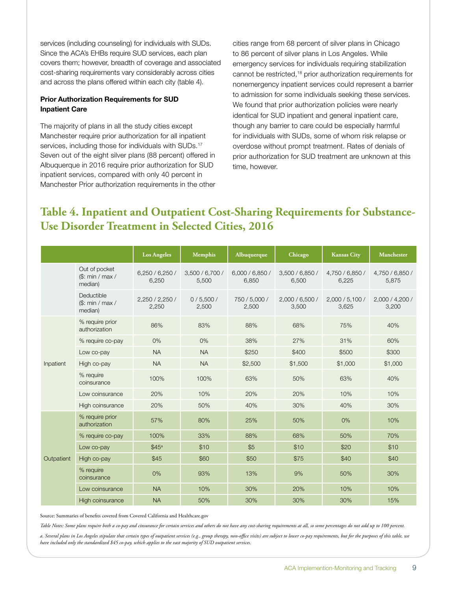services (including counseling) for individuals with SUDs. Since the ACA's EHBs require SUD services, each plan covers them; however, breadth of coverage and associated cost-sharing requirements vary considerably across cities and across the plans offered within each city (table 4).

#### **Prior Authorization Requirements for SUD Inpatient Care**

The majority of plans in all the study cities except Manchester require prior authorization for all inpatient services, including those for individuals with SUDs.<sup>17</sup> Seven out of the eight silver plans (88 percent) offered in Albuquerque in 2016 require prior authorization for SUD inpatient services, compared with only 40 percent in Manchester Prior authorization requirements in the other

cities range from 68 percent of silver plans in Chicago to 86 percent of silver plans in Los Angeles. While emergency services for individuals requiring stabilization cannot be restricted,18 prior authorization requirements for nonemergency inpatient services could represent a barrier to admission for some individuals seeking these services. We found that prior authorization policies were nearly identical for SUD inpatient and general inpatient care, though any barrier to care could be especially harmful for individuals with SUDs, some of whom risk relapse or overdose without prompt treatment. Rates of denials of prior authorization for SUD treatment are unknown at this time, however.

### **Table 4. Inpatient and Outpatient Cost-Sharing Requirements for Substance-Use Disorder Treatment in Selected Cities, 2016**

|            |                                             | <b>Los Angeles</b>       | <b>Memphis</b>           | Albuquerque              | Chicago                  | <b>Kansas City</b>       | Manchester               |
|------------|---------------------------------------------|--------------------------|--------------------------|--------------------------|--------------------------|--------------------------|--------------------------|
|            | Out of pocket<br>\$: min / max /<br>median) | 6,250/6,250/<br>6,250    | 3,500 / 6,700 /<br>5,500 | 6,000 / 6,850 /<br>6,850 | 3,500 / 6,850 /<br>6,500 | 4,750 / 6,850 /<br>6,225 | 4,750 / 6,850 /<br>5,875 |
|            | Deductible<br>(S: min / max /<br>median)    | 2,250 / 2,250 /<br>2,250 | 0/5,500/<br>2,500        | 750 / 5,000 /<br>2,500   | 2,000 / 6,500 /<br>3,500 | 2,000 / 5,100 /<br>3,625 | 2,000 / 4,200 /<br>3,200 |
|            | % require prior<br>authorization            | 86%                      | 83%                      | 88%                      | 68%                      | 75%                      | 40%                      |
|            | % require co-pay                            | 0%                       | 0%                       | 38%                      | 27%                      | 31%                      | 60%                      |
|            | Low co-pay                                  | <b>NA</b>                | <b>NA</b>                | \$250                    | \$400                    | \$500                    | \$300                    |
| Inpatient  | High co-pay                                 | <b>NA</b>                | <b>NA</b>                | \$2,500                  | \$1,500                  | \$1,000                  | \$1,000                  |
|            | % require<br>coinsurance                    | 100%                     | 100%                     | 63%                      | 50%                      | 63%                      | 40%                      |
|            | Low coinsurance                             | 20%                      | 10%                      | 20%                      | 20%                      | 10%                      | 10%                      |
|            | High coinsurance                            | 20%                      | 50%                      | 40%                      | 30%                      | 40%                      | 30%                      |
|            | % require prior<br>authorization            | 57%                      | 80%                      | 25%                      | 50%                      | $0\%$                    | 10%                      |
|            | % require co-pay                            | 100%                     | 33%                      | 88%                      | 68%                      | 50%                      | 70%                      |
|            | Low co-pay                                  | \$45 <sup>a</sup>        | \$10                     | \$5                      | \$10                     | \$20                     | \$10                     |
| Outpatient | High co-pay                                 | \$45                     | \$60                     | \$50                     | \$75                     | \$40                     | \$40                     |
|            | % require<br>coinsurance                    | 0%                       | 93%                      | 13%                      | 9%                       | 50%                      | 30%                      |
|            | Low coinsurance                             | <b>NA</b>                | 10%                      | 30%                      | 20%                      | 10%                      | 10%                      |
|            | High coinsurance                            | <b>NA</b>                | 50%                      | 30%                      | 30%                      | 30%                      | 15%                      |

Source: Summaries of benefits covered from Covered California and Healthcare.gov

*Table Notes: Some plans require both a co-pay and cinsurance for certain services and others do not have any cost-sharing requirements at all, so some percentages do not add up to 100 percent.* 

*a. Several plans in Los Angeles stipulate that certain types of outpatient services (e.g., group therapy, non-office visits) are subject to lower co-pay requirements, but for the purposes of this table, we have included only the standardized \$45 co-pay, which applies to the vast majority of SUD outpatient services.*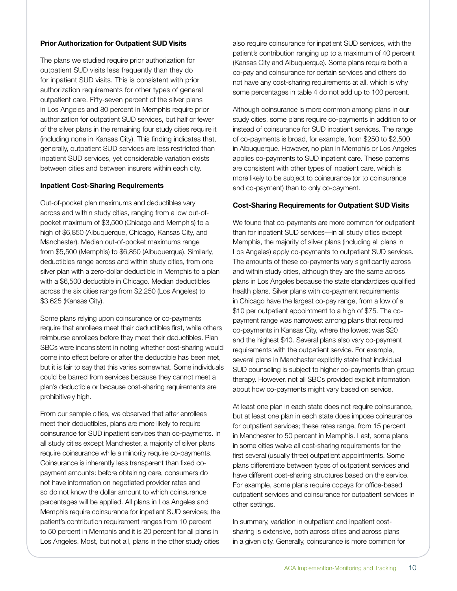#### **Prior Authorization for Outpatient SUD Visits**

The plans we studied require prior authorization for outpatient SUD visits less frequently than they do for inpatient SUD visits. This is consistent with prior authorization requirements for other types of general outpatient care. Fifty-seven percent of the silver plans in Los Angeles and 80 percent in Memphis require prior authorization for outpatient SUD services, but half or fewer of the silver plans in the remaining four study cities require it (including none in Kansas City). This finding indicates that, generally, outpatient SUD services are less restricted than inpatient SUD services, yet considerable variation exists between cities and between insurers within each city.

#### **Inpatient Cost-Sharing Requirements**

Out-of-pocket plan maximums and deductibles vary across and within study cities, ranging from a low out-ofpocket maximum of \$3,500 (Chicago and Memphis) to a high of \$6,850 (Albuquerque, Chicago, Kansas City, and Manchester). Median out-of-pocket maximums range from \$5,500 (Memphis) to \$6,850 (Albuquerque). Similarly, deductibles range across and within study cities, from one silver plan with a zero-dollar deductible in Memphis to a plan with a \$6,500 deductible in Chicago. Median deductibles across the six cities range from \$2,250 (Los Angeles) to \$3,625 (Kansas City).

Some plans relying upon coinsurance or co-payments require that enrollees meet their deductibles first, while others reimburse enrollees before they meet their deductibles. Plan SBCs were inconsistent in noting whether cost-sharing would come into effect before or after the deductible has been met, but it is fair to say that this varies somewhat. Some individuals could be barred from services because they cannot meet a plan's deductible or because cost-sharing requirements are prohibitively high.

From our sample cities, we observed that after enrollees meet their deductibles, plans are more likely to require coinsurance for SUD inpatient services than co-payments. In all study cities except Manchester, a majority of silver plans require coinsurance while a minority require co-payments. Coinsurance is inherently less transparent than fixed copayment amounts: before obtaining care, consumers do not have information on negotiated provider rates and so do not know the dollar amount to which coinsurance percentages will be applied. All plans in Los Angeles and Memphis require coinsurance for inpatient SUD services; the patient's contribution requirement ranges from 10 percent to 50 percent in Memphis and it is 20 percent for all plans in Los Angeles. Most, but not all, plans in the other study cities

also require coinsurance for inpatient SUD services, with the patient's contribution ranging up to a maximum of 40 percent (Kansas City and Albuquerque). Some plans require both a co-pay and coinsurance for certain services and others do not have any cost-sharing requirements at all, which is why some percentages in table 4 do not add up to 100 percent.

Although coinsurance is more common among plans in our study cities, some plans require co-payments in addition to or instead of coinsurance for SUD inpatient services. The range of co-payments is broad, for example, from \$250 to \$2,500 in Albuquerque. However, no plan in Memphis or Los Angeles applies co-payments to SUD inpatient care. These patterns are consistent with other types of inpatient care, which is more likely to be subject to coinsurance (or to coinsurance and co-payment) than to only co-payment.

#### **Cost-Sharing Requirements for Outpatient SUD Visits**

We found that co-payments are more common for outpatient than for inpatient SUD services—in all study cities except Memphis, the majority of silver plans (including all plans in Los Angeles) apply co-payments to outpatient SUD services. The amounts of these co-payments vary significantly across and within study cities, although they are the same across plans in Los Angeles because the state standardizes qualified health plans. Silver plans with co-payment requirements in Chicago have the largest co-pay range, from a low of a \$10 per outpatient appointment to a high of \$75. The copayment range was narrowest among plans that required co-payments in Kansas City, where the lowest was \$20 and the highest \$40. Several plans also vary co-payment requirements with the outpatient service. For example, several plans in Manchester explicitly state that individual SUD counseling is subject to higher co-payments than group therapy. However, not all SBCs provided explicit information about how co-payments might vary based on service.

At least one plan in each state does not require coinsurance, but at least one plan in each state does impose coinsurance for outpatient services; these rates range, from 15 percent in Manchester to 50 percent in Memphis. Last, some plans in some cities waive all cost-sharing requirements for the first several (usually three) outpatient appointments. Some plans differentiate between types of outpatient services and have different cost-sharing structures based on the service. For example, some plans require copays for office-based outpatient services and coinsurance for outpatient services in other settings.

In summary, variation in outpatient and inpatient costsharing is extensive, both across cities and across plans in a given city. Generally, coinsurance is more common for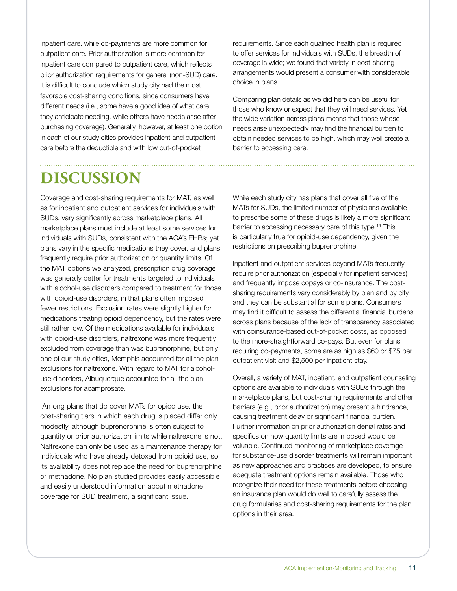inpatient care, while co-payments are more common for outpatient care. Prior authorization is more common for inpatient care compared to outpatient care, which reflects prior authorization requirements for general (non-SUD) care. It is difficult to conclude which study city had the most favorable cost-sharing conditions, since consumers have different needs (i.e., some have a good idea of what care they anticipate needing, while others have needs arise after purchasing coverage). Generally, however, at least one option in each of our study cities provides inpatient and outpatient care before the deductible and with low out-of-pocket

# **DISCUSSION**

Coverage and cost-sharing requirements for MAT, as well as for inpatient and outpatient services for individuals with SUDs, vary significantly across marketplace plans. All marketplace plans must include at least some services for individuals with SUDs, consistent with the ACA's EHBs; yet plans vary in the specific medications they cover, and plans frequently require prior authorization or quantity limits. Of the MAT options we analyzed, prescription drug coverage was generally better for treatments targeted to individuals with alcohol-use disorders compared to treatment for those with opioid-use disorders, in that plans often imposed fewer restrictions. Exclusion rates were slightly higher for medications treating opioid dependency, but the rates were still rather low. Of the medications available for individuals with opioid-use disorders, naltrexone was more frequently excluded from coverage than was buprenorphine, but only one of our study cities, Memphis accounted for all the plan exclusions for naltrexone. With regard to MAT for alcoholuse disorders, Albuquerque accounted for all the plan exclusions for acamprosate.

 Among plans that do cover MATs for opiod use, the cost-sharing tiers in which each drug is placed differ only modestly, although buprenorphine is often subject to quantity or prior authorization limits while naltrexone is not. Naltrexone can only be used as a maintenance therapy for individuals who have already detoxed from opioid use, so its availability does not replace the need for buprenorphine or methadone. No plan studied provides easily accessible and easily understood information about methadone coverage for SUD treatment, a significant issue.

requirements. Since each qualified health plan is required to offer services for individuals with SUDs, the breadth of coverage is wide; we found that variety in cost-sharing arrangements would present a consumer with considerable choice in plans.

Comparing plan details as we did here can be useful for those who know or expect that they will need services. Yet the wide variation across plans means that those whose needs arise unexpectedly may find the financial burden to obtain needed services to be high, which may well create a barrier to accessing care.

While each study city has plans that cover all five of the MATs for SUDs, the limited number of physicians available to prescribe some of these drugs is likely a more significant barrier to accessing necessary care of this type.19 This is particularly true for opioid-use dependency, given the restrictions on prescribing buprenorphine.

Inpatient and outpatient services beyond MATs frequently require prior authorization (especially for inpatient services) and frequently impose copays or co-insurance. The costsharing requirements vary considerably by plan and by city, and they can be substantial for some plans. Consumers may find it difficult to assess the differential financial burdens across plans because of the lack of transparency associated with coinsurance-based out-of-pocket costs, as opposed to the more-straightforward co-pays. But even for plans requiring co-payments, some are as high as \$60 or \$75 per outpatient visit and \$2,500 per inpatient stay.

Overall, a variety of MAT, inpatient, and outpatient counseling options are available to individuals with SUDs through the marketplace plans, but cost-sharing requirements and other barriers (e.g., prior authorization) may present a hindrance, causing treatment delay or significant financial burden. Further information on prior authorization denial rates and specifics on how quantity limits are imposed would be valuable. Continued monitoring of marketplace coverage for substance-use disorder treatments will remain important as new approaches and practices are developed, to ensure adequate treatment options remain available. Those who recognize their need for these treatments before choosing an insurance plan would do well to carefully assess the drug formularies and cost-sharing requirements for the plan options in their area.